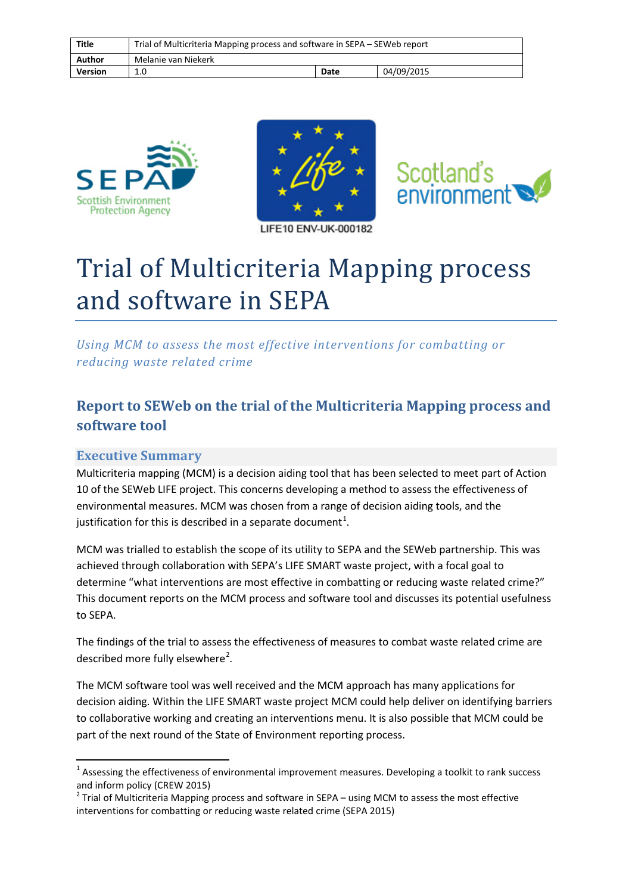| Title          | Trial of Multicriteria Mapping process and software in SEPA – SEWeb report |      |            |
|----------------|----------------------------------------------------------------------------|------|------------|
| Author         | Melanie van Niekerk                                                        |      |            |
| <b>Version</b> | 1.0                                                                        | Date | 04/09/2015 |







# Trial of Multicriteria Mapping process and software in SEPA

*Using MCM to assess the most effective interventions for combatting or reducing waste related crime*

# **Report to SEWeb on the trial of the Multicriteria Mapping process and software tool**

### **Executive Summary**

Multicriteria mapping (MCM) is a decision aiding tool that has been selected to meet part of Action 10 of the SEWeb LIFE project. This concerns developing a method to assess the effectiveness of environmental measures. MCM was chosen from a range of decision aiding tools, and the justification for this is described in a separate document<sup>[1](#page-0-0)</sup>.

MCM was trialled to establish the scope of its utility to SEPA and the SEWeb partnership. This was achieved through collaboration with SEPA's LIFE SMART waste project, with a focal goal to determine "what interventions are most effective in combatting or reducing waste related crime?" This document reports on the MCM process and software tool and discusses its potential usefulness to SEPA.

The findings of the trial to assess the effectiveness of measures to combat waste related crime are described more fully elsewhere<sup>[2](#page-0-1)</sup>.

The MCM software tool was well received and the MCM approach has many applications for decision aiding. Within the LIFE SMART waste project MCM could help deliver on identifying barriers to collaborative working and creating an interventions menu. It is also possible that MCM could be part of the next round of the State of Environment reporting process.

<span id="page-0-0"></span> $1$  Assessing the effectiveness of environmental improvement measures. Developing a toolkit to rank success and inform policy (CREW 2015)

<span id="page-0-1"></span> $2$  Trial of Multicriteria Mapping process and software in SEPA – using MCM to assess the most effective interventions for combatting or reducing waste related crime (SEPA 2015)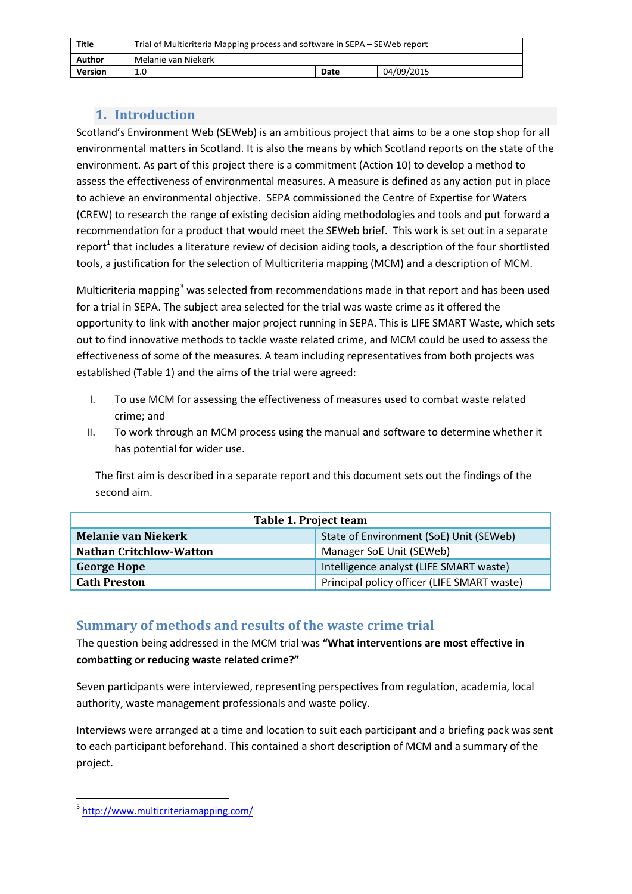| Title   | Trial of Multicriteria Mapping process and software in SEPA – SEWeb report |      |            |
|---------|----------------------------------------------------------------------------|------|------------|
| Author  | Melanie van Niekerk                                                        |      |            |
| Version | 1.0                                                                        | Date | 04/09/2015 |

## **1. Introduction**

Scotland's Environment Web (SEWeb) is an ambitious project that aims to be a one stop shop for all environmental matters in Scotland. It is also the means by which Scotland reports on the state of the environment. As part of this project there is a commitment (Action 10) to develop a method to assess the effectiveness of environmental measures. A measure is defined as any action put in place to achieve an environmental objective. SEPA commissioned the Centre of Expertise for Waters (CREW) to research the range of existing decision aiding methodologies and tools and put forward a recommendation for a product that would meet the SEWeb brief. This work is set out in a separate report<sup>1</sup> that includes a literature review of decision aiding tools, a description of the four shortlisted tools, a justification for the selection of Multicriteria mapping (MCM) and a description of MCM.

Multicriteria mapping<sup>[3](#page-1-0)</sup> was selected from recommendations made in that report and has been used for a trial in SEPA. The subject area selected for the trial was waste crime as it offered the opportunity to link with another major project running in SEPA. This is LIFE SMART Waste, which sets out to find innovative methods to tackle waste related crime, and MCM could be used to assess the effectiveness of some of the measures. A team including representatives from both projects was established (Table 1) and the aims of the trial were agreed:

- I. To use MCM for assessing the effectiveness of measures used to combat waste related crime; and
- II. To work through an MCM process using the manual and software to determine whether it has potential for wider use.

The first aim is described in a separate report and this document sets out the findings of the second aim.

| Table 1. Project team          |                                             |  |  |
|--------------------------------|---------------------------------------------|--|--|
| <b>Melanie van Niekerk</b>     | State of Environment (SoE) Unit (SEWeb)     |  |  |
| <b>Nathan Critchlow-Watton</b> | Manager SoE Unit (SEWeb)                    |  |  |
| <b>George Hope</b>             | Intelligence analyst (LIFE SMART waste)     |  |  |
| <b>Cath Preston</b>            | Principal policy officer (LIFE SMART waste) |  |  |

### **Summary of methods and results of the waste crime trial**

The question being addressed in the MCM trial was **"What interventions are most effective in combatting or reducing waste related crime?"** 

Seven participants were interviewed, representing perspectives from regulation, academia, local authority, waste management professionals and waste policy.

Interviews were arranged at a time and location to suit each participant and a briefing pack was sent to each participant beforehand. This contained a short description of MCM and a summary of the project.

<span id="page-1-0"></span> <sup>3</sup> <http://www.multicriteriamapping.com/>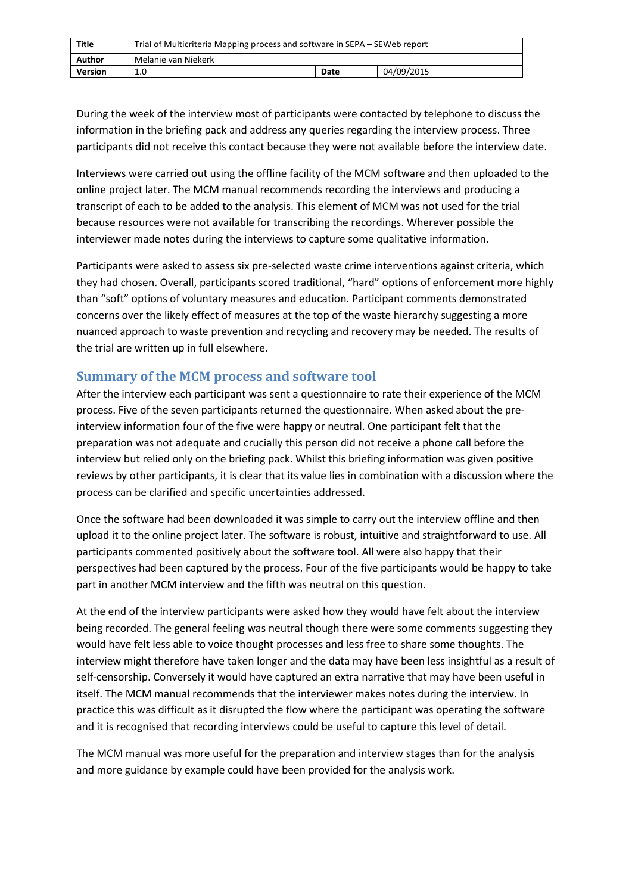| Title          | Trial of Multicriteria Mapping process and software in SEPA – SEWeb report |      |            |
|----------------|----------------------------------------------------------------------------|------|------------|
| Author         | Melanie van Niekerk                                                        |      |            |
| <b>Version</b> | 1.0                                                                        | Date | 04/09/2015 |

During the week of the interview most of participants were contacted by telephone to discuss the information in the briefing pack and address any queries regarding the interview process. Three participants did not receive this contact because they were not available before the interview date.

Interviews were carried out using the offline facility of the MCM software and then uploaded to the online project later. The MCM manual recommends recording the interviews and producing a transcript of each to be added to the analysis. This element of MCM was not used for the trial because resources were not available for transcribing the recordings. Wherever possible the interviewer made notes during the interviews to capture some qualitative information.

Participants were asked to assess six pre-selected waste crime interventions against criteria, which they had chosen. Overall, participants scored traditional, "hard" options of enforcement more highly than "soft" options of voluntary measures and education. Participant comments demonstrated concerns over the likely effect of measures at the top of the waste hierarchy suggesting a more nuanced approach to waste prevention and recycling and recovery may be needed. The results of the trial are written up in full elsewhere.

#### **Summary of the MCM process and software tool**

After the interview each participant was sent a questionnaire to rate their experience of the MCM process. Five of the seven participants returned the questionnaire. When asked about the preinterview information four of the five were happy or neutral. One participant felt that the preparation was not adequate and crucially this person did not receive a phone call before the interview but relied only on the briefing pack. Whilst this briefing information was given positive reviews by other participants, it is clear that its value lies in combination with a discussion where the process can be clarified and specific uncertainties addressed.

Once the software had been downloaded it was simple to carry out the interview offline and then upload it to the online project later. The software is robust, intuitive and straightforward to use. All participants commented positively about the software tool. All were also happy that their perspectives had been captured by the process. Four of the five participants would be happy to take part in another MCM interview and the fifth was neutral on this question.

At the end of the interview participants were asked how they would have felt about the interview being recorded. The general feeling was neutral though there were some comments suggesting they would have felt less able to voice thought processes and less free to share some thoughts. The interview might therefore have taken longer and the data may have been less insightful as a result of self-censorship. Conversely it would have captured an extra narrative that may have been useful in itself. The MCM manual recommends that the interviewer makes notes during the interview. In practice this was difficult as it disrupted the flow where the participant was operating the software and it is recognised that recording interviews could be useful to capture this level of detail.

The MCM manual was more useful for the preparation and interview stages than for the analysis and more guidance by example could have been provided for the analysis work.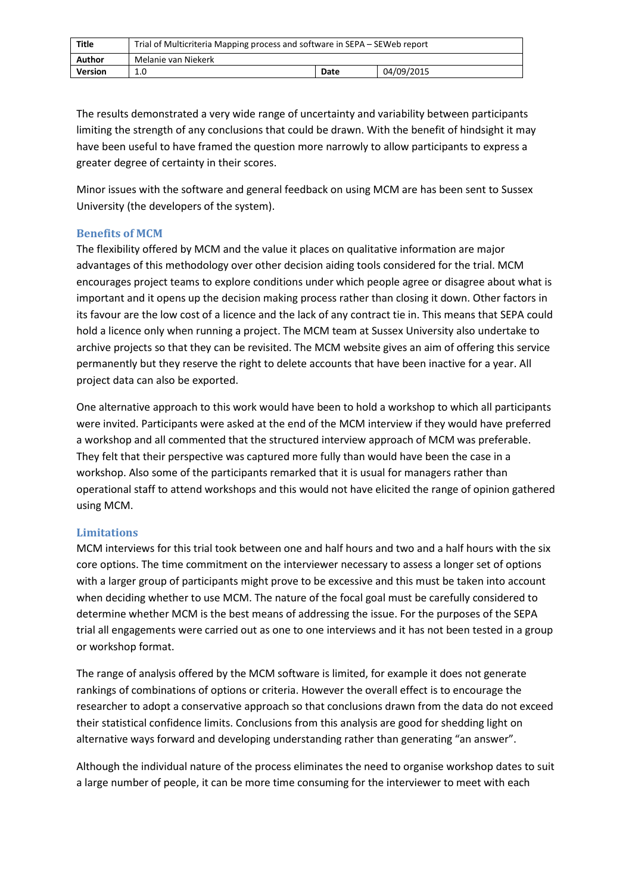| Title          | Trial of Multicriteria Mapping process and software in SEPA – SEWeb report |      |            |
|----------------|----------------------------------------------------------------------------|------|------------|
| Author         | Melanie van Niekerk                                                        |      |            |
| <b>Version</b> | 1.0                                                                        | Date | 04/09/2015 |

The results demonstrated a very wide range of uncertainty and variability between participants limiting the strength of any conclusions that could be drawn. With the benefit of hindsight it may have been useful to have framed the question more narrowly to allow participants to express a greater degree of certainty in their scores.

Minor issues with the software and general feedback on using MCM are has been sent to Sussex University (the developers of the system).

#### **Benefits of MCM**

The flexibility offered by MCM and the value it places on qualitative information are major advantages of this methodology over other decision aiding tools considered for the trial. MCM encourages project teams to explore conditions under which people agree or disagree about what is important and it opens up the decision making process rather than closing it down. Other factors in its favour are the low cost of a licence and the lack of any contract tie in. This means that SEPA could hold a licence only when running a project. The MCM team at Sussex University also undertake to archive projects so that they can be revisited. The MCM website gives an aim of offering this service permanently but they reserve the right to delete accounts that have been inactive for a year. All project data can also be exported.

One alternative approach to this work would have been to hold a workshop to which all participants were invited. Participants were asked at the end of the MCM interview if they would have preferred a workshop and all commented that the structured interview approach of MCM was preferable. They felt that their perspective was captured more fully than would have been the case in a workshop. Also some of the participants remarked that it is usual for managers rather than operational staff to attend workshops and this would not have elicited the range of opinion gathered using MCM.

#### **Limitations**

MCM interviews for this trial took between one and half hours and two and a half hours with the six core options. The time commitment on the interviewer necessary to assess a longer set of options with a larger group of participants might prove to be excessive and this must be taken into account when deciding whether to use MCM. The nature of the focal goal must be carefully considered to determine whether MCM is the best means of addressing the issue. For the purposes of the SEPA trial all engagements were carried out as one to one interviews and it has not been tested in a group or workshop format.

The range of analysis offered by the MCM software is limited, for example it does not generate rankings of combinations of options or criteria. However the overall effect is to encourage the researcher to adopt a conservative approach so that conclusions drawn from the data do not exceed their statistical confidence limits. Conclusions from this analysis are good for shedding light on alternative ways forward and developing understanding rather than generating "an answer".

Although the individual nature of the process eliminates the need to organise workshop dates to suit a large number of people, it can be more time consuming for the interviewer to meet with each